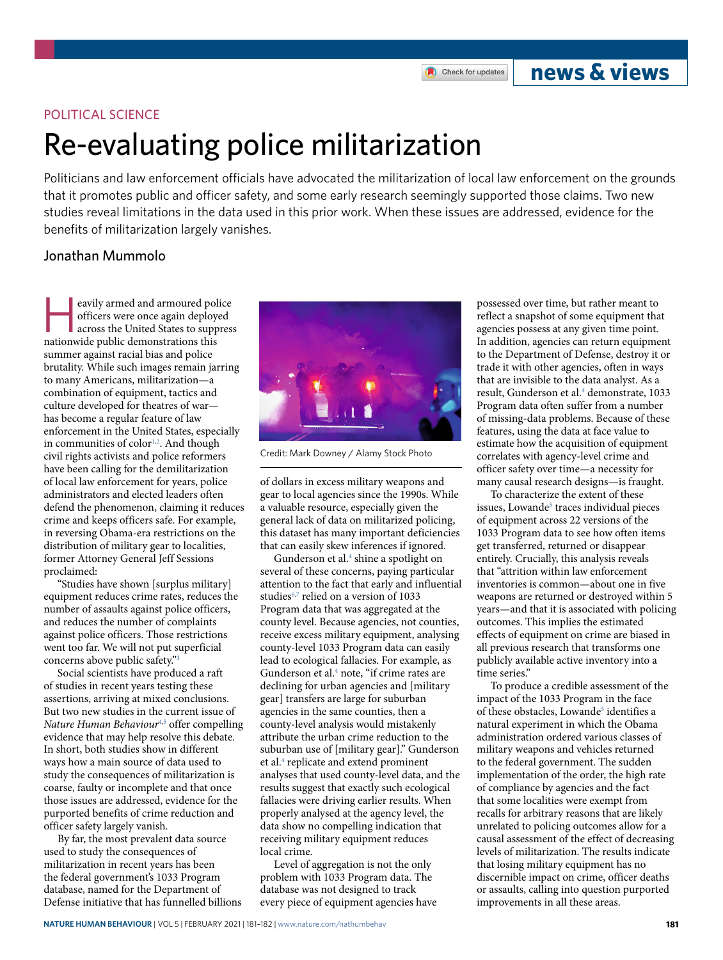#### Check for updates

# **news & views**

## POLITICAL SCIENCE

# Re-evaluating police militarization

Politicians and law enforcement officials have advocated the militarization of local law enforcement on the grounds that it promotes public and officer safety, and some early research seemingly supported those claims. Two new studies reveal limitations in the data used in this prior work. When these issues are addressed, evidence for the benefits of militarization largely vanishes.

### Jonathan Mummolo

eavily armed and armoured police officers were once again deployed across the United States to suppress nationwide public demonstrations this summer against racial bias and police brutality. While such images remain jarring to many Americans, militarization—a combination of equipment, tactics and culture developed for theatres of war has become a regular feature of law enforcement in the United States, especially in communities of color<sup>1,[2](#page-1-1)</sup>. And though civil rights activists and police reformers have been calling for the demilitarization of local law enforcement for years, police administrators and elected leaders often defend the phenomenon, claiming it reduces crime and keeps officers safe. For example, in reversing Obama-era restrictions on the distribution of military gear to localities, former Attorney General Jeff Sessions proclaimed:

"Studies have shown [surplus military] equipment reduces crime rates, reduces the number of assaults against police officers, and reduces the number of complaints against police officers. Those restrictions went too far. We will not put superficial concerns above public safety."[3](#page-1-2)

Social scientists have produced a raft of studies in recent years testing these assertions, arriving at mixed conclusions. But two new studies in the current issue of Nature Human Behaviour<sup>[4](#page-1-3),[5](#page-1-4)</sup> offer compelling evidence that may help resolve this debate. In short, both studies show in different ways how a main source of data used to study the consequences of militarization is coarse, faulty or incomplete and that once those issues are addressed, evidence for the purported benefits of crime reduction and officer safety largely vanish.

By far, the most prevalent data source used to study the consequences of militarization in recent years has been the federal government's 1033 Program database, named for the Department of Defense initiative that has funnelled billions



Credit: Mark Downey / Alamy Stock Photo

of dollars in excess military weapons and gear to local agencies since the 1990s. While a valuable resource, especially given the general lack of data on militarized policing, this dataset has many important deficiencies that can easily skew inferences if ignored.

Gunderson et al.<sup>4</sup> shine a spotlight on several of these concerns, paying particular attention to the fact that early and influential studies<sup>6,[7](#page-1-6)</sup> relied on a version of 1033 Program data that was aggregated at the county level. Because agencies, not counties, receive excess military equipment, analysing county-level 1033 Program data can easily lead to ecological fallacies. For example, as Gunderson et al.<sup>[4](#page-1-3)</sup> note, "if crime rates are declining for urban agencies and [military gear] transfers are large for suburban agencies in the same counties, then a county-level analysis would mistakenly attribute the urban crime reduction to the suburban use of [military gear]." Gunderson et al.<sup>[4](#page-1-3)</sup> replicate and extend prominent analyses that used county-level data, and the results suggest that exactly such ecological fallacies were driving earlier results. When properly analysed at the agency level, the data show no compelling indication that receiving military equipment reduces local crime.

Level of aggregation is not the only problem with 1033 Program data. The database was not designed to track every piece of equipment agencies have possessed over time, but rather meant to reflect a snapshot of some equipment that agencies possess at any given time point. In addition, agencies can return equipment to the Department of Defense, destroy it or trade it with other agencies, often in ways that are invisible to the data analyst. As a result, Gunderson et al.<sup>4</sup> demonstrate, 1033 Program data often suffer from a number of missing-data problems. Because of these features, using the data at face value to estimate how the acquisition of equipment correlates with agency-level crime and officer safety over time—a necessity for many causal research designs—is fraught.

To characterize the extent of these issues, Lowande<sup>[5](#page-1-4)</sup> traces individual pieces of equipment across 22 versions of the 1033 Program data to see how often items get transferred, returned or disappear entirely. Crucially, this analysis reveals that "attrition within law enforcement inventories is common—about one in five weapons are returned or destroyed within 5 years—and that it is associated with policing outcomes. This implies the estimated effects of equipment on crime are biased in all previous research that transforms one publicly available active inventory into a time series."

To produce a credible assessment of the impact of the 1033 Program in the face of these obstacles, Lowande<sup>5</sup> identifies a natural experiment in which the Obama administration ordered various classes of military weapons and vehicles returned to the federal government. The sudden implementation of the order, the high rate of compliance by agencies and the fact that some localities were exempt from recalls for arbitrary reasons that are likely unrelated to policing outcomes allow for a causal assessment of the effect of decreasing levels of militarization. The results indicate that losing military equipment has no discernible impact on crime, officer deaths or assaults, calling into question purported improvements in all these areas.